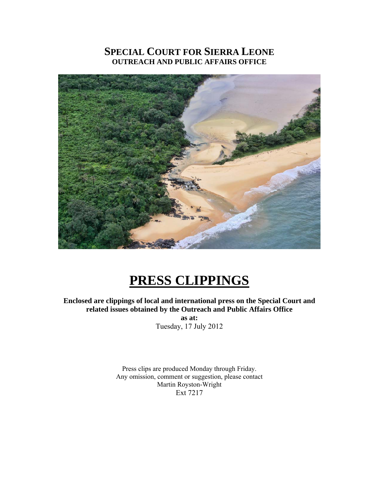## **SPECIAL COURT FOR SIERRA LEONE OUTREACH AND PUBLIC AFFAIRS OFFICE**



# **PRESS CLIPPINGS**

**Enclosed are clippings of local and international press on the Special Court and related issues obtained by the Outreach and Public Affairs Office as at:** 

Tuesday, 17 July 2012

Press clips are produced Monday through Friday. Any omission, comment or suggestion, please contact Martin Royston-Wright Ext 7217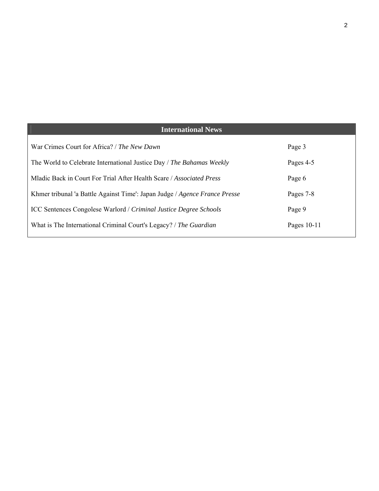| <b>International News</b>                                                  |             |
|----------------------------------------------------------------------------|-------------|
| War Crimes Court for Africa? / The New Dawn                                | Page 3      |
| The World to Celebrate International Justice Day / The Bahamas Weekly      | Pages 4-5   |
| Mladic Back in Court For Trial After Health Scare <i>Associated Press</i>  | Page 6      |
| Khmer tribunal 'a Battle Against Time': Japan Judge / Agence France Presse | Pages 7-8   |
| <b>ICC Sentences Congolese Warlord / Criminal Justice Degree Schools</b>   | Page 9      |
| What is The International Criminal Court's Legacy? / The Guardian          | Pages 10-11 |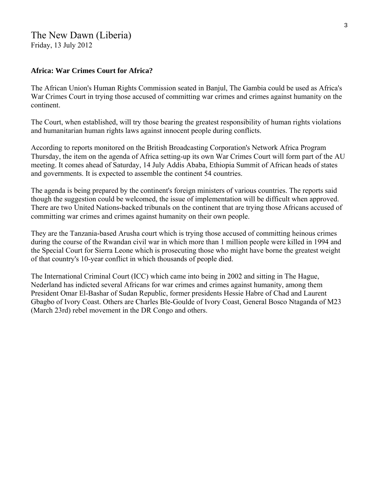#### The New Dawn (Liberia) Friday, 13 July 2012

#### **Africa: War Crimes Court for Africa?**

The African Union's Human Rights Commission seated in Banjul, The Gambia could be used as Africa's War Crimes Court in trying those accused of committing war crimes and crimes against humanity on the continent.

The Court, when established, will try those bearing the greatest responsibility of human rights violations and humanitarian human rights laws against innocent people during conflicts.

According to reports monitored on the British Broadcasting Corporation's Network Africa Program Thursday, the item on the agenda of Africa setting-up its own War Crimes Court will form part of the AU meeting. It comes ahead of Saturday, 14 July Addis Ababa, Ethiopia Summit of African heads of states and governments. It is expected to assemble the continent 54 countries.

The agenda is being prepared by the continent's foreign ministers of various countries. The reports said though the suggestion could be welcomed, the issue of implementation will be difficult when approved. There are two United Nations-backed tribunals on the continent that are trying those Africans accused of committing war crimes and crimes against humanity on their own people.

They are the Tanzania-based Arusha court which is trying those accused of committing heinous crimes during the course of the Rwandan civil war in which more than 1 million people were killed in 1994 and the Special Court for Sierra Leone which is prosecuting those who might have borne the greatest weight of that country's 10-year conflict in which thousands of people died.

The International Criminal Court (ICC) which came into being in 2002 and sitting in The Hague, Nederland has indicted several Africans for war crimes and crimes against humanity, among them President Omar El-Bashar of Sudan Republic, former presidents Hessie Habre of Chad and Laurent Gbagbo of Ivory Coast. Others are Charles Ble-Goulde of Ivory Coast, General Bosco Ntaganda of M23 (March 23rd) rebel movement in the DR Congo and others.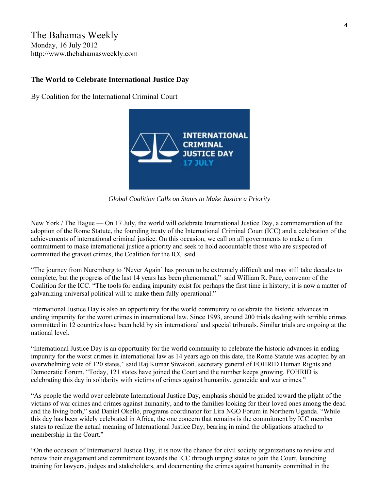The Bahamas Weekly Monday, 16 July 2012 http://www.thebahamasweekly.com

#### **The World to Celebrate International Justice Day**

By Coalition for the International Criminal Court



*Global Coalition Calls on States to Make Justice a Priority* 

New York / The Hague — On 17 July, the world will celebrate International Justice Day, a commemoration of the adoption of the Rome Statute, the founding treaty of the International Criminal Court (ICC) and a celebration of the achievements of international criminal justice. On this occasion, we call on all governments to make a firm commitment to make international justice a priority and seek to hold accountable those who are suspected of committed the gravest crimes, the Coalition for the ICC said.

"The journey from Nuremberg to 'Never Again' has proven to be extremely difficult and may still take decades to complete, but the progress of the last 14 years has been phenomenal," said William R. Pace, convenor of the Coalition for the ICC. "The tools for ending impunity exist for perhaps the first time in history; it is now a matter of galvanizing universal political will to make them fully operational."

International Justice Day is also an opportunity for the world community to celebrate the historic advances in ending impunity for the worst crimes in international law. Since 1993, around 200 trials dealing with terrible crimes committed in 12 countries have been held by six international and special tribunals. Similar trials are ongoing at the national level.

"International Justice Day is an opportunity for the world community to celebrate the historic advances in ending impunity for the worst crimes in international law as 14 years ago on this date, the Rome Statute was adopted by an overwhelming vote of 120 states," said Raj Kumar Siwakoti, secretary general of FOHRID Human Rights and Democratic Forum. "Today, 121 states have joined the Court and the number keeps growing. FOHRID is celebrating this day in solidarity with victims of crimes against humanity, genocide and war crimes."

"As people the world over celebrate International Justice Day, emphasis should be guided toward the plight of the victims of war crimes and crimes against humanity, and to the families looking for their loved ones among the dead and the living both," said Daniel Okello, programs coordinator for Lira NGO Forum in Northern Uganda. "While this day has been widely celebrated in Africa, the one concern that remains is the commitment by ICC member states to realize the actual meaning of International Justice Day, bearing in mind the obligations attached to membership in the Court."

"On the occasion of International Justice Day, it is now the chance for civil society organizations to review and renew their engagement and commitment towards the ICC through urging states to join the Court, launching training for lawyers, judges and stakeholders, and documenting the crimes against humanity committed in the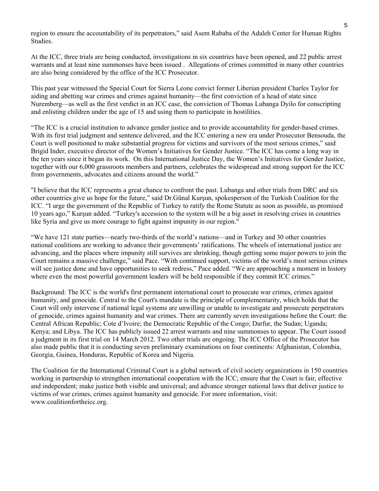region to ensure the accountability of its perpetrators," said Asem Rababa of the Adaleh Center for Human Rights Studies.

At the ICC, three trials are being conducted, investigations in six countries have been opened, and 22 public arrest warrants and at least nine summonses have been issued . Allegations of crimes committed in many other countries are also being considered by the office of the ICC Prosecutor.

This past year witnessed the Special Court for Sierra Leone convict former Liberian president Charles Taylor for aiding and abetting war crimes and crimes against humanity—the first conviction of a head of state since Nuremberg—as well as the first verdict in an ICC case, the conviction of Thomas Lubanga Dyilo for conscripting and enlisting children under the age of 15 and using them to participate in hostilities.

"The ICC is a crucial institution to advance gender justice and to provide accountability for gender-based crimes. With its first trial judgment and sentence delivered, and the ICC entering a new era under Prosecutor Bensouda, the Court is well positioned to make substantial progress for victims and survivors of the most serious crimes," said Brigid Inder, executive director of the Women's Initiatives for Gender Justice. "The ICC has come a long way in the ten years since it began its work. On this International Justice Day, the Women's Initiatives for Gender Justice, together with our 6,000 grassroots members and partners, celebrates the widespread and strong support for the ICC from governments, advocates and citizens around the world."

"I believe that the ICC represents a great chance to confront the past. Lubanga and other trials from DRC and six other countries give us hope for the future," said Dr.Günal Kurşun, spokesperson of the Turkish Coalition for the ICC. "I urge the government of the Republic of Turkey to ratify the Rome Statute as soon as possible, as promised 10 years ago," Kurşun added. "Turkey's accession to the system will be a big asset in resolving crises in countries like Syria and give us more courage to fight against impunity in our region."

"We have 121 state parties—nearly two-thirds of the world's nations—and in Turkey and 30 other countries national coalitions are working to advance their governments' ratifications. The wheels of international justice are advancing, and the places where impunity still survives are shrinking, though getting some major powers to join the Court remains a massive challenge," said Pace. "With continued support, victims of the world's most serious crimes will see justice done and have opportunities to seek redress," Pace added. "We are approaching a moment in history where even the most powerful government leaders will be held responsible if they commit ICC crimes."

Background: The ICC is the world's first permanent international court to prosecute war crimes, crimes against humanity, and genocide. Central to the Court's mandate is the principle of complementarity, which holds that the Court will only intervene if national legal systems are unwilling or unable to investigate and prosecute perpetrators of genocide, crimes against humanity and war crimes. There are currently seven investigations before the Court: the Central African Republic; Cote d'Ivoire; the Democratic Republic of the Congo; Darfur, the Sudan; Uganda; Kenya; and Libya. The ICC has publicly issued 22 arrest warrants and nine summonses to appear. The Court issued a judgment in its first trial on 14 March 2012. Two other trials are ongoing. The ICC Office of the Prosecutor has also made public that it is conducting seven preliminary examinations on four continents: Afghanistan, Colombia, Georgia, Guinea, Honduras, Republic of Korea and Nigeria.

The Coalition for the International Criminal Court is a global network of civil society organizations in 150 countries working in partnership to strengthen international cooperation with the ICC; ensure that the Court is fair, effective and independent; make justice both visible and universal; and advance stronger national laws that deliver justice to victims of war crimes, crimes against humanity and genocide. For more information, visit: www.coalitionfortheicc.org.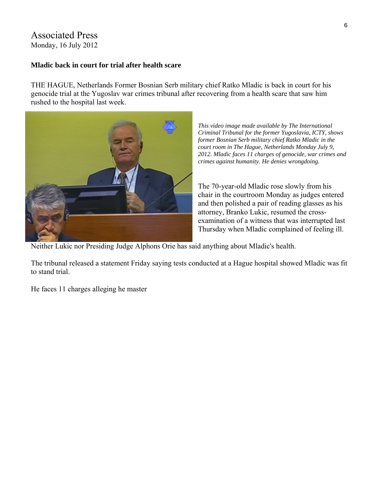#### Associated Press Monday, 16 July 2012

#### **Mladic back in court for trial after health scare**

THE HAGUE, Netherlands Former Bosnian Serb military chief Ratko Mladic is back in court for his genocide trial at the Yugoslav war crimes tribunal after recovering from a health scare that saw him rushed to the hospital last week.



*This video image made available by The International Criminal Tribunal for the former Yugoslavia, ICTY, shows former Bosnian Serb military chief Ratko Mladic in the court room in The Hague, Netherlands Monday July 9, 2012. Mladic faces 11 charges of genocide, war crimes and crimes against humanity. He denies wrongdoing.* 

The 70-year-old Mladic rose slowly from his chair in the courtroom Monday as judges entered and then polished a pair of reading glasses as his attorney, Branko Lukic, resumed the crossexamination of a witness that was interrupted last Thursday when Mladic complained of feeling ill.

Neither Lukic nor Presiding Judge Alphons Orie has sai d anything about Mladic's health.

The tribunal released a statement Friday saying tests conducted at a Hague hospital showed Mladic was fit to stand trial.

He faces 11 charges alleging he master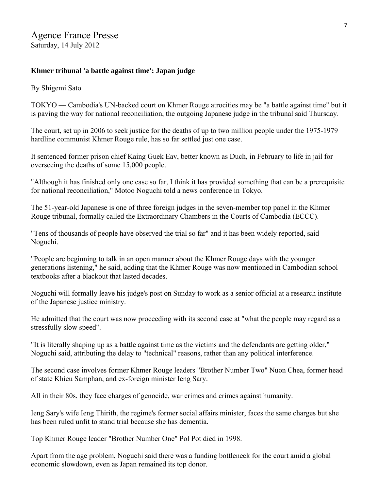#### Agence France Presse Saturday, 14 July 2012

#### **Khmer tribunal 'a battle against time': Japan judge**

By Shigemi Sato

TOKYO — Cambodia's UN-backed court on Khmer Rouge atrocities may be "a battle against time" but it is paving the way for national reconciliation, the outgoing Japanese judge in the tribunal said Thursday.

The court, set up in 2006 to seek justice for the deaths of up to two million people under the 1975-1979 hardline communist Khmer Rouge rule, has so far settled just one case.

It sentenced former prison chief Kaing Guek Eav, better known as Duch, in February to life in jail for overseeing the deaths of some 15,000 people.

"Although it has finished only one case so far, I think it has provided something that can be a prerequisite for national reconciliation," Motoo Noguchi told a news conference in Tokyo.

The 51-year-old Japanese is one of three foreign judges in the seven-member top panel in the Khmer Rouge tribunal, formally called the Extraordinary Chambers in the Courts of Cambodia (ECCC).

"Tens of thousands of people have observed the trial so far" and it has been widely reported, said Noguchi.

"People are beginning to talk in an open manner about the Khmer Rouge days with the younger generations listening," he said, adding that the Khmer Rouge was now mentioned in Cambodian school textbooks after a blackout that lasted decades.

Noguchi will formally leave his judge's post on Sunday to work as a senior official at a research institute of the Japanese justice ministry.

He admitted that the court was now proceeding with its second case at "what the people may regard as a stressfully slow speed".

"It is literally shaping up as a battle against time as the victims and the defendants are getting older," Noguchi said, attributing the delay to "technical" reasons, rather than any political interference.

The second case involves former Khmer Rouge leaders "Brother Number Two" Nuon Chea, former head of state Khieu Samphan, and ex-foreign minister Ieng Sary.

All in their 80s, they face charges of genocide, war crimes and crimes against humanity.

Ieng Sary's wife Ieng Thirith, the regime's former social affairs minister, faces the same charges but she has been ruled unfit to stand trial because she has dementia.

Top Khmer Rouge leader "Brother Number One" Pol Pot died in 1998.

Apart from the age problem, Noguchi said there was a funding bottleneck for the court amid a global economic slowdown, even as Japan remained its top donor.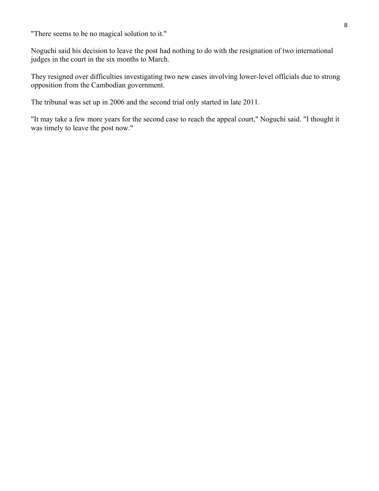"There seems to be no magical solution to it."

Noguchi said his decision to leave the post had nothing to do with the resignation of two international judges in the court in the six months to March.

They resigned over difficulties investigating two new cases involving lower-level officials due to strong opposition from the Cambodian government.

The tribunal was set up in 2006 and the second trial only started in late 2011.

"It may take a few more years for the second case to reach the appeal court," Noguchi said. "I thought it was timely to leave the post now."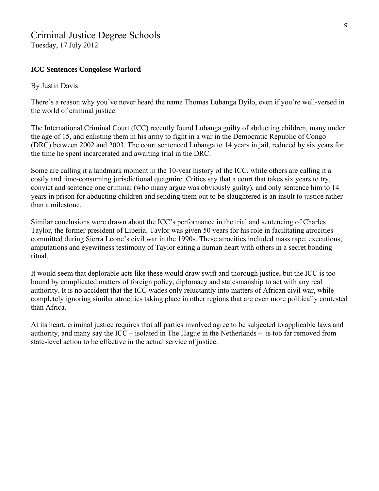## Criminal Justice Degree Schools

Tuesday, 17 July 2012

#### **ICC Sentences Congolese Warlord**

#### By Justin Davis

There's a reason why you've never heard the name Thomas Lubanga Dyilo, even if you're well-versed in the world of criminal justice.

The International Criminal Court (ICC) recently found Lubanga guilty of abducting children, many under the age of 15, and enlisting them in his army to fight in a war in the Democratic Republic of Congo (DRC) between 2002 and 2003. The court sentenced Lubanga to 14 years in jail, reduced by six years for the time he spent incarcerated and awaiting trial in the DRC.

Some are calling it a landmark moment in the 10-year history of the ICC, while others are calling it a costly and time-consuming jurisdictional quagmire. Critics say that a court that takes six years to try, convict and sentence one criminal (who many argue was obviously guilty), and only sentence him to 14 years in prison for abducting children and sending them out to be slaughtered is an insult to justice rather than a milestone.

Similar conclusions were drawn about the ICC's performance in the trial and sentencing of Charles Taylor, the former president of Liberia. Taylor was given 50 years for his role in facilitating atrocities committed during Sierra Leone's civil war in the 1990s. These atrocities included mass rape, executions, amputations and eyewitness testimony of Taylor eating a human heart with others in a secret bonding ritual.

It would seem that deplorable acts like these would draw swift and thorough justice, but the ICC is too bound by complicated matters of foreign policy, diplomacy and statesmanship to act with any real authority. It is no accident that the ICC wades only reluctantly into matters of African civil war, while completely ignoring similar atrocities taking place in other regions that are even more politically contested than Africa.

At its heart, criminal justice requires that all parties involved agree to be subjected to applicable laws and authority, and many say the ICC – isolated in The Hague in the Netherlands – is too far removed from state-level action to be effective in the actual service of justice.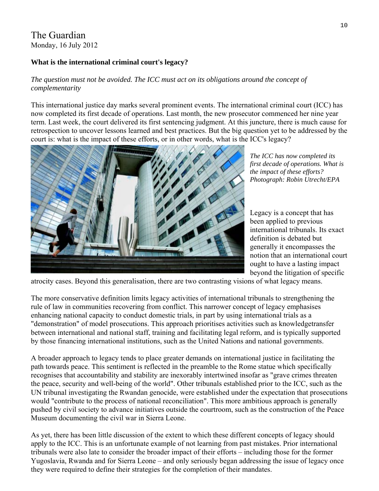### The Guardian Monday, 16 July 2012

#### **What is the international criminal court's legacy?**

#### *The question must not be avoided. The ICC must act on its obligations around the concept of complementarity*

This international justice day marks several prominent events. The international criminal court (ICC) has now completed its first decade of operations. Last month, the new prosecutor commenced her nine year term. Last week, the court delivered its first sentencing judgment. At this juncture, there is much cause for retrospection to uncover lessons learned and best practices. But the big question yet to be addressed by the court is: what is the impact of these efforts, or in other words, what is the ICC's legacy?



*The ICC has now completed its first decade of operations. What is the impact of these efforts? Photograph: Robin Utrecht/EPA* 

Legacy is a concept that has been applied to previous international tribunals. Its exact definition is debated but generally it encompasses the notion that an international court ought to have a lasting impact beyond the litigation of specific

atrocity cases. Beyond this generalisation, there are two contrasting visions of what legacy means.

The more conservative definition limits legacy activities of international tribunals to strengthening the rule of law in communities recovering from conflict. This narrower concept of legacy emphasises enhancing national capacity to conduct domestic trials, in part by using international trials as a "demonstration" of model prosecutions. This approach prioritises activities such as knowledgetransfer between international and national staff, training and facilitating legal reform, and is typically supported by those financing international institutions, such as the United Nations and national governments.

A broader approach to legacy tends to place greater demands on international justice in facilitating the path towards peace. This sentiment is reflected in the preamble to the Rome statue which specifically recognises that accountability and stability are inexorably intertwined insofar as "grave crimes threaten the peace, security and well-being of the world". Other tribunals established prior to the ICC, such as the UN tribunal investigating the Rwandan genocide, were established under the expectation that prosecutions would "contribute to the process of national reconciliation". This more ambitious approach is generally pushed by civil society to advance initiatives outside the courtroom, such as the construction of the Peace Museum documenting the civil war in Sierra Leone.

As yet, there has been little discussion of the extent to which these different concepts of legacy should apply to the ICC. This is an unfortunate example of not learning from past mistakes. Prior international tribunals were also late to consider the broader impact of their efforts – including those for the former Yugoslavia, Rwanda and for Sierra Leone – and only seriously began addressing the issue of legacy once they were required to define their strategies for the completion of their mandates.